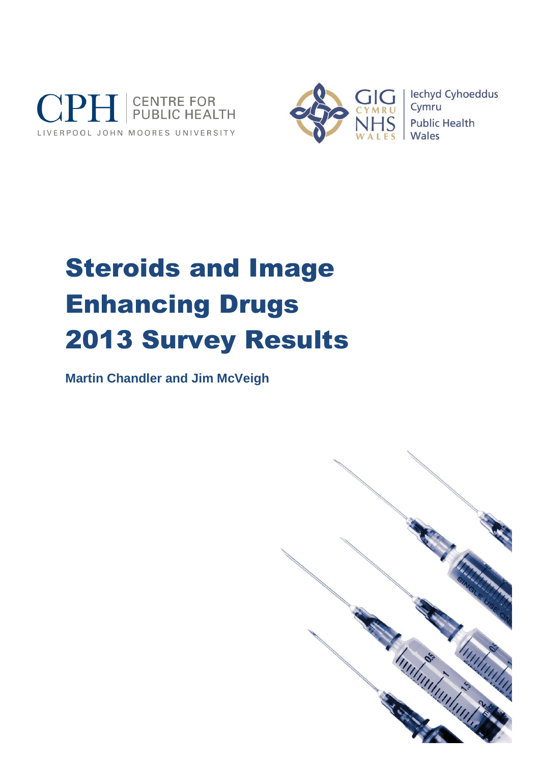



# Steroids and Image Enhancing Drugs 2013 Survey Results

**Martin Chandler and Jim McVeigh**

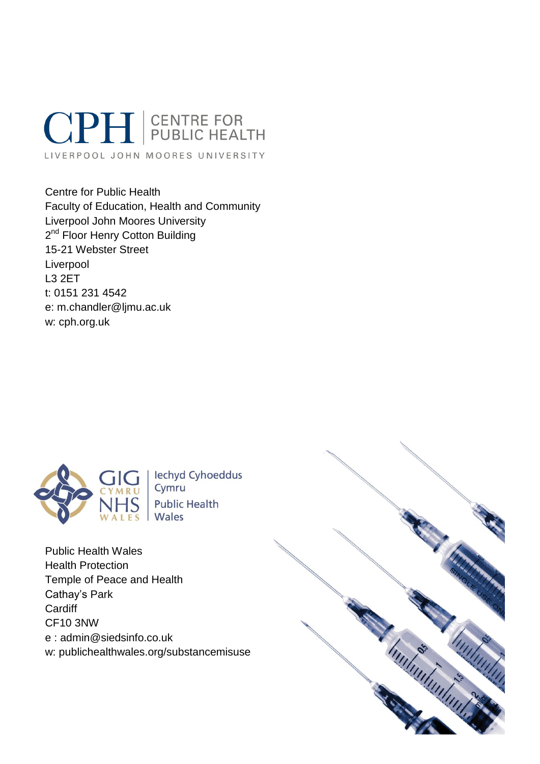# **CPH** ELERGIE FOR

LIVERPOOL JOHN MOORES UNIVERSITY

Centre for Public Health Faculty of Education, Health and Community Liverpool John Moores University 2<sup>nd</sup> Floor Henry Cotton Building 15-21 Webster Street Liverpool L3 2ET t: 0151 231 4542 e: m.chandler@ljmu.ac.uk w: cph.org.uk



| lechyd Cyhoeddus Cymru **Public Health** Wales

Public Health Wales Health Protection Temple of Peace and Health Cathay's Park **Cardiff** CF10 3NW e : admin@siedsinfo.co.uk w: publichealthwales.org/substancemisuse

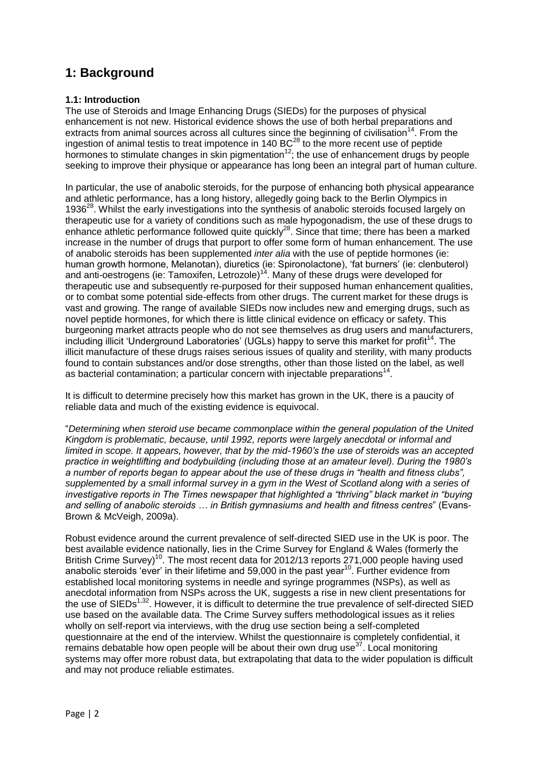# **1: Background**

#### **1.1: Introduction**

The use of Steroids and Image Enhancing Drugs (SIEDs) for the purposes of physical enhancement is not new. Historical evidence shows the use of both herbal preparations and extracts from animal sources across all cultures since the beginning of civilisation<sup>14</sup>. From the ingestion of animal testis to treat impotence in 140 BC<sup>28</sup> to the more recent use of peptide hormones to stimulate changes in skin pigmentation<sup>12</sup>; the use of enhancement drugs by people seeking to improve their physique or appearance has long been an integral part of human culture.

In particular, the use of anabolic steroids, for the purpose of enhancing both physical appearance and athletic performance, has a long history, allegedly going back to the Berlin Olympics in 1936<sup>28</sup>. Whilst the early investigations into the synthesis of anabolic steroids focused largely on therapeutic use for a variety of conditions such as male hypogonadism, the use of these drugs to enhance athletic performance followed quite quickly<sup>28</sup>. Since that time; there has been a marked increase in the number of drugs that purport to offer some form of human enhancement. The use of anabolic steroids has been supplemented *inter alia* with the use of peptide hormones (ie: human growth hormone, Melanotan), diuretics (ie: Spironolactone), 'fat burners' (ie: clenbuterol) and anti-oestrogens (ie: Tamoxifen, Letrozole)<sup>14</sup>. Many of these drugs were developed for therapeutic use and subsequently re-purposed for their supposed human enhancement qualities, or to combat some potential side-effects from other drugs. The current market for these drugs is vast and growing. The range of available SIEDs now includes new and emerging drugs, such as novel peptide hormones, for which there is little clinical evidence on efficacy or safety. This burgeoning market attracts people who do not see themselves as drug users and manufacturers, including illicit 'Underground Laboratories' (UGLs) happy to serve this market for profit<sup>14</sup>. The illicit manufacture of these drugs raises serious issues of quality and sterility, with many products found to contain substances and/or dose strengths, other than those listed on the label, as well as bacterial contamination; a particular concern with injectable preparations<sup>14</sup>.

It is difficult to determine precisely how this market has grown in the UK, there is a paucity of reliable data and much of the existing evidence is equivocal.

"*Determining when steroid use became commonplace within the general population of the United Kingdom is problematic, because, until 1992, reports were largely anecdotal or informal and limited in scope. It appears, however, that by the mid-1960's the use of steroids was an accepted practice in weightlifting and bodybuilding (including those at an amateur level). During the 1980's a number of reports began to appear about the use of these drugs in "health and fitness clubs", supplemented by a small informal survey in a gym in the West of Scotland along with a series of investigative reports in The Times newspaper that highlighted a "thriving" black market in "buying and selling of anabolic steroids … in British gymnasiums and health and fitness centres*" (Evans-Brown & McVeigh, 2009a).

Robust evidence around the current prevalence of self-directed SIED use in the UK is poor. The best available evidence nationally, lies in the Crime Survey for England & Wales (formerly the British Crime Survey)<sup>10</sup>. The most recent data for 2012/13 reports 271,000 people having used anabolic steroids 'ever' in their lifetime and 59,000 in the past year<sup>10</sup>. Further evidence from established local monitoring systems in needle and syringe programmes (NSPs), as well as anecdotal information from NSPs across the UK, suggests a rise in new client presentations for the use of SIEDs<sup>1,32</sup>. However, it is difficult to determine the true prevalence of self-directed SIED use based on the available data. The Crime Survey suffers methodological issues as it relies wholly on self-report via interviews, with the drug use section being a self-completed questionnaire at the end of the interview. Whilst the questionnaire is completely confidential, it remains debatable how open people will be about their own drug use<sup>37</sup>. Local monitoring systems may offer more robust data, but extrapolating that data to the wider population is difficult and may not produce reliable estimates.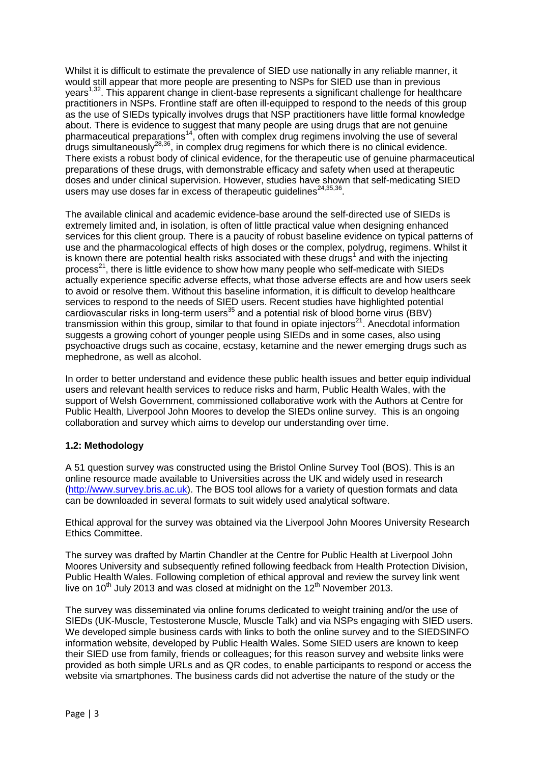Whilst it is difficult to estimate the prevalence of SIED use nationally in any reliable manner, it would still appear that more people are presenting to NSPs for SIED use than in previous years<sup>1,32</sup>. This apparent change in client-base represents a significant challenge for healthcare practitioners in NSPs. Frontline staff are often ill-equipped to respond to the needs of this group as the use of SIEDs typically involves drugs that NSP practitioners have little formal knowledge about. There is evidence to suggest that many people are using drugs that are not genuine pharmaceutical preparations<sup>14</sup>, often with complex drug regimens involving the use of several drugs simultaneously<sup>28,36</sup>, in complex drug regimens for which there is no clinical evidence. There exists a robust body of clinical evidence, for the therapeutic use of genuine pharmaceutical preparations of these drugs, with demonstrable efficacy and safety when used at therapeutic doses and under clinical supervision. However, studies have shown that self-medicating SIED users may use doses far in excess of therapeutic guidelines $^{24,35,36}$ .

The available clinical and academic evidence-base around the self-directed use of SIEDs is extremely limited and, in isolation, is often of little practical value when designing enhanced services for this client group. There is a paucity of robust baseline evidence on typical patterns of use and the pharmacological effects of high doses or the complex, polydrug, regimens. Whilst it is known there are potential health risks associated with these drugs<sup>1</sup> and with the injecting process<sup>21</sup>, there is little evidence to show how many people who self-medicate with SIEDs actually experience specific adverse effects, what those adverse effects are and how users seek to avoid or resolve them. Without this baseline information, it is difficult to develop healthcare services to respond to the needs of SIED users. Recent studies have highlighted potential  $c$ ardiovascular risks in long-term users<sup>35</sup> and a potential risk of blood borne virus (BBV) transmission within this group, similar to that found in opiate injectors<sup>21</sup>. Anecdotal information suggests a growing cohort of younger people using SIEDs and in some cases, also using psychoactive drugs such as cocaine, ecstasy, ketamine and the newer emerging drugs such as mephedrone, as well as alcohol.

In order to better understand and evidence these public health issues and better equip individual users and relevant health services to reduce risks and harm, Public Health Wales, with the support of Welsh Government, commissioned collaborative work with the Authors at Centre for Public Health, Liverpool John Moores to develop the SIEDs online survey. This is an ongoing collaboration and survey which aims to develop our understanding over time.

#### **1.2: Methodology**

A 51 question survey was constructed using the Bristol Online Survey Tool (BOS). This is an online resource made available to Universities across the UK and widely used in research [\(http://www.survey.bris.ac.uk\)](http://www.survey.bris.ac.uk/). The BOS tool allows for a variety of question formats and data can be downloaded in several formats to suit widely used analytical software.

Ethical approval for the survey was obtained via the Liverpool John Moores University Research Ethics Committee.

The survey was drafted by Martin Chandler at the Centre for Public Health at Liverpool John Moores University and subsequently refined following feedback from Health Protection Division, Public Health Wales. Following completion of ethical approval and review the survey link went live on 10<sup>th</sup> July 2013 and was closed at midnight on the  $12<sup>th</sup>$  November 2013.

The survey was disseminated via online forums dedicated to weight training and/or the use of SIEDs (UK-Muscle, Testosterone Muscle, Muscle Talk) and via NSPs engaging with SIED users. We developed simple business cards with links to both the online survey and to the SIEDSINFO information website, developed by Public Health Wales. Some SIED users are known to keep their SIED use from family, friends or colleagues; for this reason survey and website links were provided as both simple URLs and as QR codes, to enable participants to respond or access the website via smartphones. The business cards did not advertise the nature of the study or the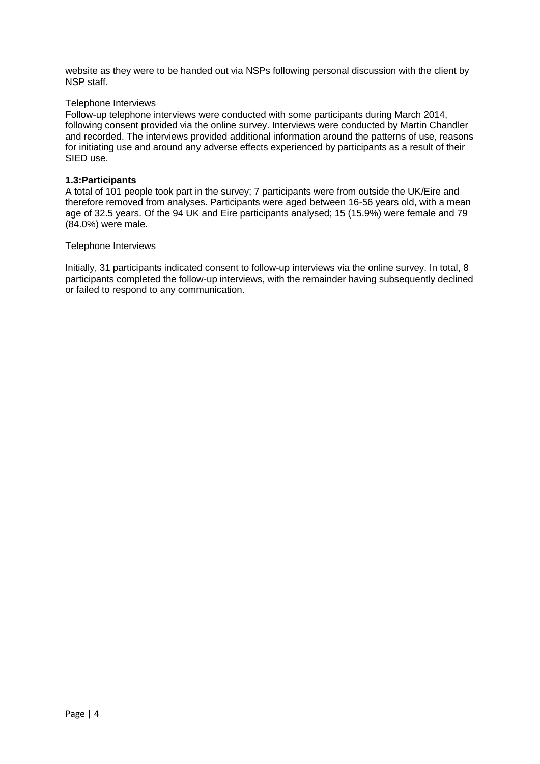website as they were to be handed out via NSPs following personal discussion with the client by NSP staff.

#### Telephone Interviews

Follow-up telephone interviews were conducted with some participants during March 2014, following consent provided via the online survey. Interviews were conducted by Martin Chandler and recorded. The interviews provided additional information around the patterns of use, reasons for initiating use and around any adverse effects experienced by participants as a result of their SIED use.

#### **1.3:Participants**

A total of 101 people took part in the survey; 7 participants were from outside the UK/Eire and therefore removed from analyses. Participants were aged between 16-56 years old, with a mean age of 32.5 years. Of the 94 UK and Eire participants analysed; 15 (15.9%) were female and 79 (84.0%) were male.

#### Telephone Interviews

Initially, 31 participants indicated consent to follow-up interviews via the online survey. In total, 8 participants completed the follow-up interviews, with the remainder having subsequently declined or failed to respond to any communication.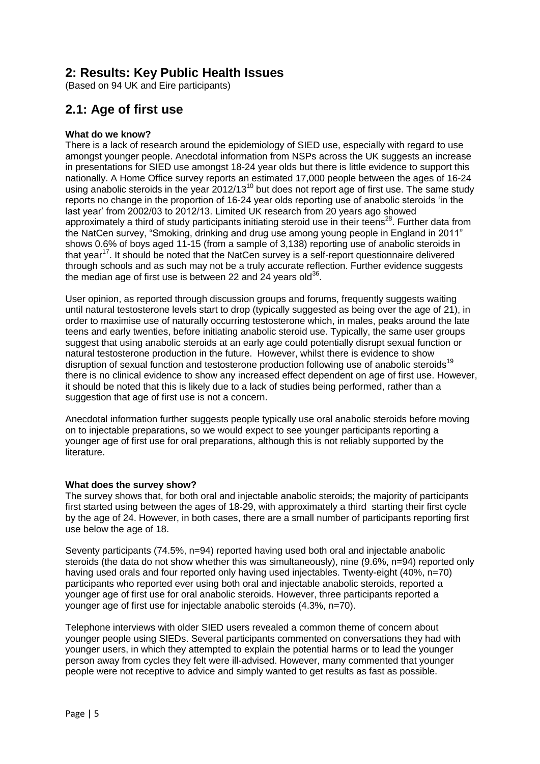## **2: Results: Key Public Health Issues**

(Based on 94 UK and Eire participants)

# **2.1: Age of first use**

#### **What do we know?**

There is a lack of research around the epidemiology of SIED use, especially with regard to use amongst younger people. Anecdotal information from NSPs across the UK suggests an increase in presentations for SIED use amongst 18-24 year olds but there is little evidence to support this nationally. A Home Office survey reports an estimated 17,000 people between the ages of 16-24 using anabolic steroids in the year 2012/13<sup>10</sup> but does not report age of first use. The same study reports no change in the proportion of 16-24 year olds reporting use of anabolic steroids 'in the last year' from 2002/03 to 2012/13. Limited UK research from 20 years ago showed approximately a third of study participants initiating steroid use in their teens<sup>28</sup>. Further data from the NatCen survey, "Smoking, drinking and drug use among young people in England in 2011" shows 0.6% of boys aged 11-15 (from a sample of 3,138) reporting use of anabolic steroids in that year<sup>17</sup>. It should be noted that the NatCen survey is a self-report questionnaire delivered through schools and as such may not be a truly accurate reflection. Further evidence suggests the median age of first use is between 22 and 24 years old $^{36}$ .

User opinion, as reported through discussion groups and forums, frequently suggests waiting until natural testosterone levels start to drop (typically suggested as being over the age of 21), in order to maximise use of naturally occurring testosterone which, in males, peaks around the late teens and early twenties, before initiating anabolic steroid use. Typically, the same user groups suggest that using anabolic steroids at an early age could potentially disrupt sexual function or natural testosterone production in the future. However, whilst there is evidence to show disruption of sexual function and testosterone production following use of anabolic steroids<sup>19</sup> there is no clinical evidence to show any increased effect dependent on age of first use. However, it should be noted that this is likely due to a lack of studies being performed, rather than a suggestion that age of first use is not a concern.

Anecdotal information further suggests people typically use oral anabolic steroids before moving on to injectable preparations, so we would expect to see younger participants reporting a younger age of first use for oral preparations, although this is not reliably supported by the literature.

#### **What does the survey show?**

The survey shows that, for both oral and injectable anabolic steroids; the majority of participants first started using between the ages of 18-29, with approximately a third starting their first cycle by the age of 24. However, in both cases, there are a small number of participants reporting first use below the age of 18.

Seventy participants (74.5%, n=94) reported having used both oral and injectable anabolic steroids (the data do not show whether this was simultaneously), nine (9.6%, n=94) reported only having used orals and four reported only having used injectables. Twenty-eight (40%, n=70) participants who reported ever using both oral and injectable anabolic steroids, reported a younger age of first use for oral anabolic steroids. However, three participants reported a younger age of first use for injectable anabolic steroids (4.3%, n=70).

Telephone interviews with older SIED users revealed a common theme of concern about younger people using SIEDs. Several participants commented on conversations they had with younger users, in which they attempted to explain the potential harms or to lead the younger person away from cycles they felt were ill-advised. However, many commented that younger people were not receptive to advice and simply wanted to get results as fast as possible.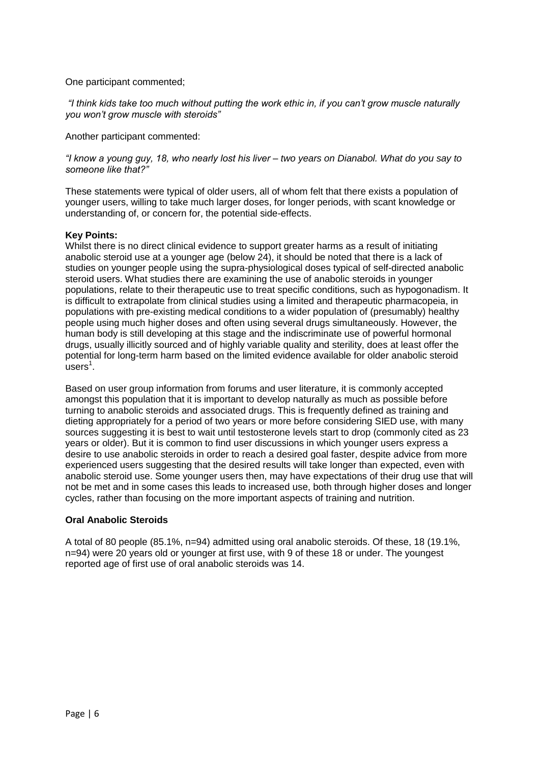One participant commented;

*"I think kids take too much without putting the work ethic in, if you can't grow muscle naturally you won't grow muscle with steroids"*

Another participant commented:

*"I know a young guy, 18, who nearly lost his liver – two years on Dianabol. What do you say to someone like that?"*

These statements were typical of older users, all of whom felt that there exists a population of younger users, willing to take much larger doses, for longer periods, with scant knowledge or understanding of, or concern for, the potential side-effects.

#### **Key Points:**

Whilst there is no direct clinical evidence to support greater harms as a result of initiating anabolic steroid use at a younger age (below 24), it should be noted that there is a lack of studies on younger people using the supra-physiological doses typical of self-directed anabolic steroid users. What studies there are examining the use of anabolic steroids in younger populations, relate to their therapeutic use to treat specific conditions, such as hypogonadism. It is difficult to extrapolate from clinical studies using a limited and therapeutic pharmacopeia, in populations with pre-existing medical conditions to a wider population of (presumably) healthy people using much higher doses and often using several drugs simultaneously. However, the human body is still developing at this stage and the indiscriminate use of powerful hormonal drugs, usually illicitly sourced and of highly variable quality and sterility, does at least offer the potential for long-term harm based on the limited evidence available for older anabolic steroid  $^{-}$ users $^{1}$ .

Based on user group information from forums and user literature, it is commonly accepted amongst this population that it is important to develop naturally as much as possible before turning to anabolic steroids and associated drugs. This is frequently defined as training and dieting appropriately for a period of two years or more before considering SIED use, with many sources suggesting it is best to wait until testosterone levels start to drop (commonly cited as 23 years or older). But it is common to find user discussions in which younger users express a desire to use anabolic steroids in order to reach a desired goal faster, despite advice from more experienced users suggesting that the desired results will take longer than expected, even with anabolic steroid use. Some younger users then, may have expectations of their drug use that will not be met and in some cases this leads to increased use, both through higher doses and longer cycles, rather than focusing on the more important aspects of training and nutrition.

#### **Oral Anabolic Steroids**

A total of 80 people (85.1%, n=94) admitted using oral anabolic steroids. Of these, 18 (19.1%, n=94) were 20 years old or younger at first use, with 9 of these 18 or under. The youngest reported age of first use of oral anabolic steroids was 14.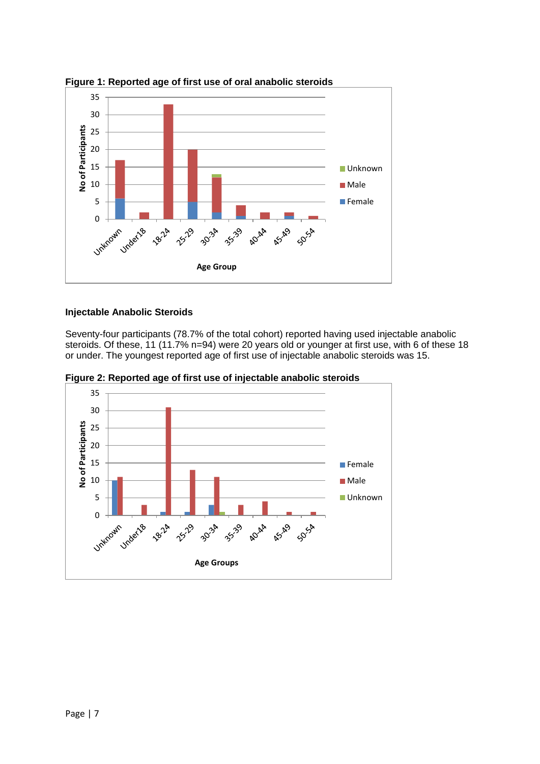

**Figure 1: Reported age of first use of oral anabolic steroids**

#### **Injectable Anabolic Steroids**

Seventy-four participants (78.7% of the total cohort) reported having used injectable anabolic steroids. Of these, 11 (11.7% n=94) were 20 years old or younger at first use, with 6 of these 18 or under. The youngest reported age of first use of injectable anabolic steroids was 15.



**Figure 2: Reported age of first use of injectable anabolic steroids**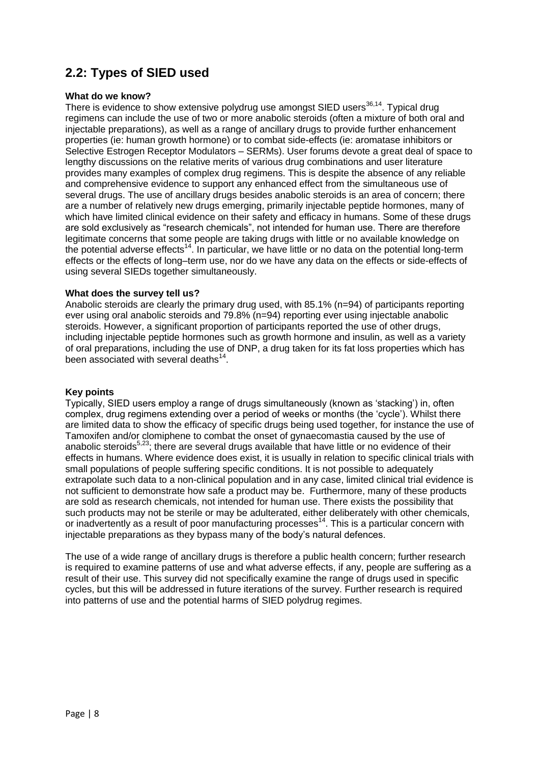# **2.2: Types of SIED used**

#### **What do we know?**

There is evidence to show extensive polydrug use amongst SIED users  $36,14$ . Typical drug regimens can include the use of two or more anabolic steroids (often a mixture of both oral and injectable preparations), as well as a range of ancillary drugs to provide further enhancement properties (ie: human growth hormone) or to combat side-effects (ie: aromatase inhibitors or Selective Estrogen Receptor Modulators – SERMs). User forums devote a great deal of space to lengthy discussions on the relative merits of various drug combinations and user literature provides many examples of complex drug regimens. This is despite the absence of any reliable and comprehensive evidence to support any enhanced effect from the simultaneous use of several drugs. The use of ancillary drugs besides anabolic steroids is an area of concern; there are a number of relatively new drugs emerging, primarily injectable peptide hormones, many of which have limited clinical evidence on their safety and efficacy in humans. Some of these drugs are sold exclusively as "research chemicals", not intended for human use. There are therefore legitimate concerns that some people are taking drugs with little or no available knowledge on the potential adverse effects<sup>14</sup>. In particular, we have little or no data on the potential long-term effects or the effects of long–term use, nor do we have any data on the effects or side-effects of using several SIEDs together simultaneously.

#### **What does the survey tell us?**

Anabolic steroids are clearly the primary drug used, with 85.1% (n=94) of participants reporting ever using oral anabolic steroids and 79.8% (n=94) reporting ever using injectable anabolic steroids. However, a significant proportion of participants reported the use of other drugs, including injectable peptide hormones such as growth hormone and insulin, as well as a variety of oral preparations, including the use of DNP, a drug taken for its fat loss properties which has been associated with several deaths<sup>14</sup>.

#### **Key points**

Typically, SIED users employ a range of drugs simultaneously (known as 'stacking') in, often complex, drug regimens extending over a period of weeks or months (the 'cycle'). Whilst there are limited data to show the efficacy of specific drugs being used together, for instance the use of Tamoxifen and/or clomiphene to combat the onset of gynaecomastia caused by the use of anabolic steroids<sup>5,23</sup>; there are several drugs available that have little or no evidence of their effects in humans. Where evidence does exist, it is usually in relation to specific clinical trials with small populations of people suffering specific conditions. It is not possible to adequately extrapolate such data to a non-clinical population and in any case, limited clinical trial evidence is not sufficient to demonstrate how safe a product may be. Furthermore, many of these products are sold as research chemicals, not intended for human use. There exists the possibility that such products may not be sterile or may be adulterated, either deliberately with other chemicals, or inadvertently as a result of poor manufacturing processes<sup>14</sup>. This is a particular concern with injectable preparations as they bypass many of the body's natural defences.

The use of a wide range of ancillary drugs is therefore a public health concern; further research is required to examine patterns of use and what adverse effects, if any, people are suffering as a result of their use. This survey did not specifically examine the range of drugs used in specific cycles, but this will be addressed in future iterations of the survey. Further research is required into patterns of use and the potential harms of SIED polydrug regimes.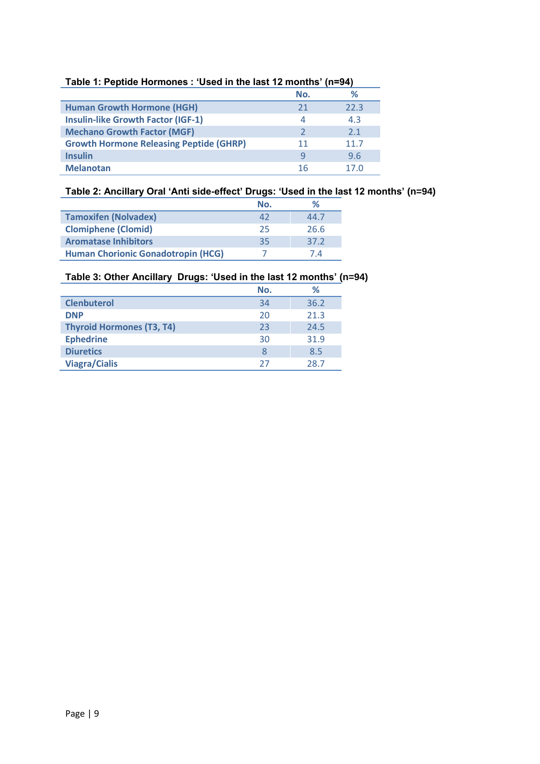|                                                | No. | ℅    |
|------------------------------------------------|-----|------|
| <b>Human Growth Hormone (HGH)</b>              | 21  | 22.3 |
| <b>Insulin-like Growth Factor (IGF-1)</b>      | 4   | 4.3  |
| <b>Mechano Growth Factor (MGF)</b>             |     | 2.1  |
| <b>Growth Hormone Releasing Peptide (GHRP)</b> | 11  | 11.7 |
| <b>Insulin</b>                                 | q   | 9.6  |
| <b>Melanotan</b>                               | 16  | 17.N |

#### **Table 1: Peptide Hormones : 'Used in the last 12 months' (n=94)**

#### **Table 2: Ancillary Oral 'Anti side-effect' Drugs: 'Used in the last 12 months' (n=94)**

|                                           | No. | ℅    |
|-------------------------------------------|-----|------|
| <b>Tamoxifen (Nolvadex)</b>               | 42  | 44.7 |
| <b>Clomiphene (Clomid)</b>                | 25  | 26.6 |
| <b>Aromatase Inhibitors</b>               | 35  | 37.2 |
| <b>Human Chorionic Gonadotropin (HCG)</b> |     | 7.4  |

### **Table 3: Other Ancillary Drugs: 'Used in the last 12 months' (n=94)**

|                                  | No. | ℅    |
|----------------------------------|-----|------|
| <b>Clenbuterol</b>               | 34  | 36.2 |
| <b>DNP</b>                       | 20  | 21.3 |
| <b>Thyroid Hormones (T3, T4)</b> | 23  | 24.5 |
| <b>Ephedrine</b>                 | 30  | 31.9 |
| <b>Diuretics</b>                 | 8   | 8.5  |
| <b>Viagra/Cialis</b>             | 27  | 28.7 |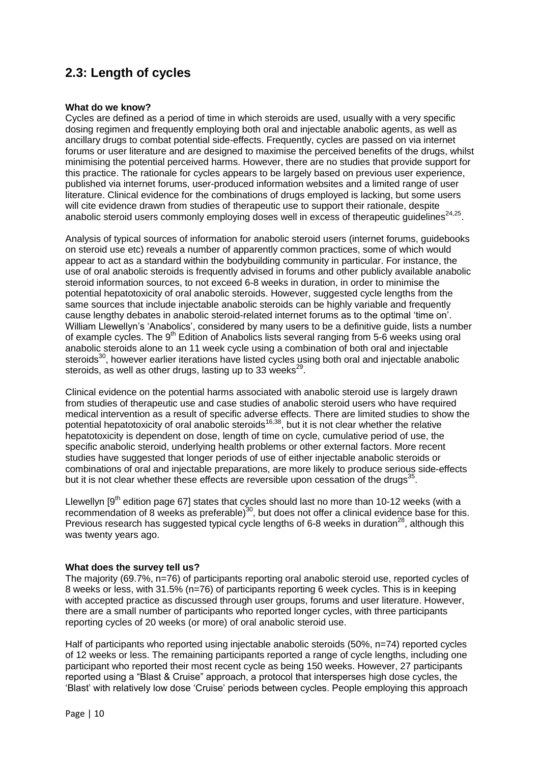# **2.3: Length of cycles**

#### **What do we know?**

Cycles are defined as a period of time in which steroids are used, usually with a very specific dosing regimen and frequently employing both oral and injectable anabolic agents, as well as ancillary drugs to combat potential side-effects. Frequently, cycles are passed on via internet forums or user literature and are designed to maximise the perceived benefits of the drugs, whilst minimising the potential perceived harms. However, there are no studies that provide support for this practice. The rationale for cycles appears to be largely based on previous user experience, published via internet forums, user-produced information websites and a limited range of user literature. Clinical evidence for the combinations of drugs employed is lacking, but some users will cite evidence drawn from studies of therapeutic use to support their rationale, despite anabolic steroid users commonly employing doses well in excess of therapeutic guidelines $^{24,25}$ .

Analysis of typical sources of information for anabolic steroid users (internet forums, guidebooks on steroid use etc) reveals a number of apparently common practices, some of which would appear to act as a standard within the bodybuilding community in particular. For instance, the use of oral anabolic steroids is frequently advised in forums and other publicly available anabolic steroid information sources, to not exceed 6-8 weeks in duration, in order to minimise the potential hepatotoxicity of oral anabolic steroids. However, suggested cycle lengths from the same sources that include injectable anabolic steroids can be highly variable and frequently cause lengthy debates in anabolic steroid-related internet forums as to the optimal 'time on'. William Llewellyn's 'Anabolics', considered by many users to be a definitive guide, lists a number of example cycles. The 9<sup>th</sup> Edition of Anabolics lists several ranging from 5-6 weeks using oral anabolic steroids alone to an 11 week cycle using a combination of both oral and injectable steroids<sup>30</sup>, however earlier iterations have listed cycles using both oral and injectable anabolic steroids, as well as other drugs, lasting up to 33 weeks $^{29}$ .

Clinical evidence on the potential harms associated with anabolic steroid use is largely drawn from studies of therapeutic use and case studies of anabolic steroid users who have required medical intervention as a result of specific adverse effects. There are limited studies to show the potential hepatotoxicity of oral anabolic steroids<sup>16,38</sup>, but it is not clear whether the relative hepatotoxicity is dependent on dose, length of time on cycle, cumulative period of use, the specific anabolic steroid, underlying health problems or other external factors. More recent studies have suggested that longer periods of use of either injectable anabolic steroids or combinations of oral and injectable preparations, are more likely to produce serious side-effects but it is not clear whether these effects are reversible upon cessation of the drugs<sup>35</sup>.

Llewellyn  $19<sup>th</sup>$  edition page 671 states that cycles should last no more than 10-12 weeks (with a recommendation of 8 weeks as preferable)<sup>30</sup>, but does not offer a clinical evidence base for this. Previous research has suggested typical cycle lengths of 6-8 weeks in duration<sup>28</sup>, although this was twenty years ago.

#### **What does the survey tell us?**

The majority (69.7%, n=76) of participants reporting oral anabolic steroid use, reported cycles of 8 weeks or less, with 31.5% (n=76) of participants reporting 6 week cycles. This is in keeping with accepted practice as discussed through user groups, forums and user literature. However, there are a small number of participants who reported longer cycles, with three participants reporting cycles of 20 weeks (or more) of oral anabolic steroid use.

Half of participants who reported using injectable anabolic steroids (50%, n=74) reported cycles of 12 weeks or less. The remaining participants reported a range of cycle lengths, including one participant who reported their most recent cycle as being 150 weeks. However, 27 participants reported using a "Blast & Cruise" approach, a protocol that intersperses high dose cycles, the 'Blast' with relatively low dose 'Cruise' periods between cycles. People employing this approach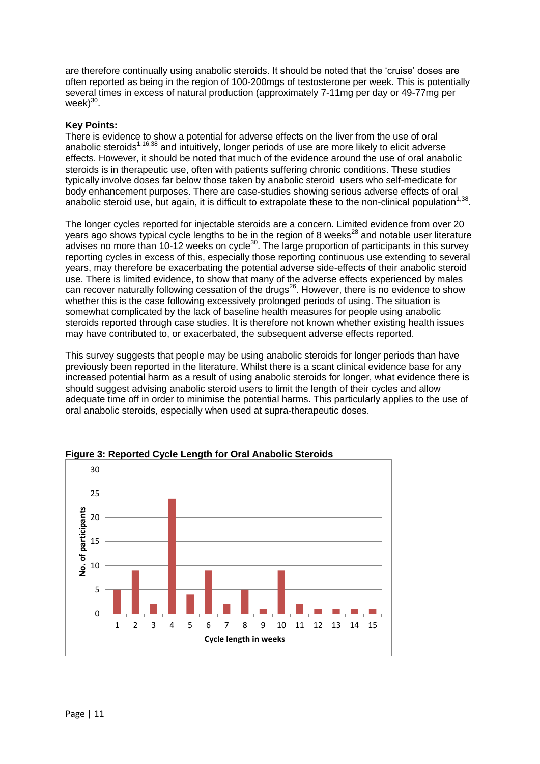are therefore continually using anabolic steroids. It should be noted that the 'cruise' doses are often reported as being in the region of 100-200mgs of testosterone per week. This is potentially several times in excess of natural production (approximately 7-11mg per day or 49-77mg per week) $^{30}$ .

#### **Key Points:**

There is evidence to show a potential for adverse effects on the liver from the use of oral anabolic steroids<sup> $1,16,38$ </sup> and intuitively, longer periods of use are more likely to elicit adverse effects. However, it should be noted that much of the evidence around the use of oral anabolic steroids is in therapeutic use, often with patients suffering chronic conditions. These studies typically involve doses far below those taken by anabolic steroid users who self-medicate for body enhancement purposes. There are case-studies showing serious adverse effects of oral anabolic steroid use, but again, it is difficult to extrapolate these to the non-clinical population<sup>1,38</sup>.

The longer cycles reported for injectable steroids are a concern. Limited evidence from over 20 years ago shows typical cycle lengths to be in the region of 8 weeks<sup>28</sup> and notable user literature advises no more than 10-12 weeks on cycle<sup>30</sup>. The large proportion of participants in this survey reporting cycles in excess of this, especially those reporting continuous use extending to several years, may therefore be exacerbating the potential adverse side-effects of their anabolic steroid use. There is limited evidence, to show that many of the adverse effects experienced by males can recover naturally following cessation of the drugs<sup>26</sup>. However, there is no evidence to show whether this is the case following excessively prolonged periods of using. The situation is somewhat complicated by the lack of baseline health measures for people using anabolic steroids reported through case studies. It is therefore not known whether existing health issues may have contributed to, or exacerbated, the subsequent adverse effects reported.

This survey suggests that people may be using anabolic steroids for longer periods than have previously been reported in the literature. Whilst there is a scant clinical evidence base for any increased potential harm as a result of using anabolic steroids for longer, what evidence there is should suggest advising anabolic steroid users to limit the length of their cycles and allow adequate time off in order to minimise the potential harms. This particularly applies to the use of oral anabolic steroids, especially when used at supra-therapeutic doses.



**Figure 3: Reported Cycle Length for Oral Anabolic Steroids**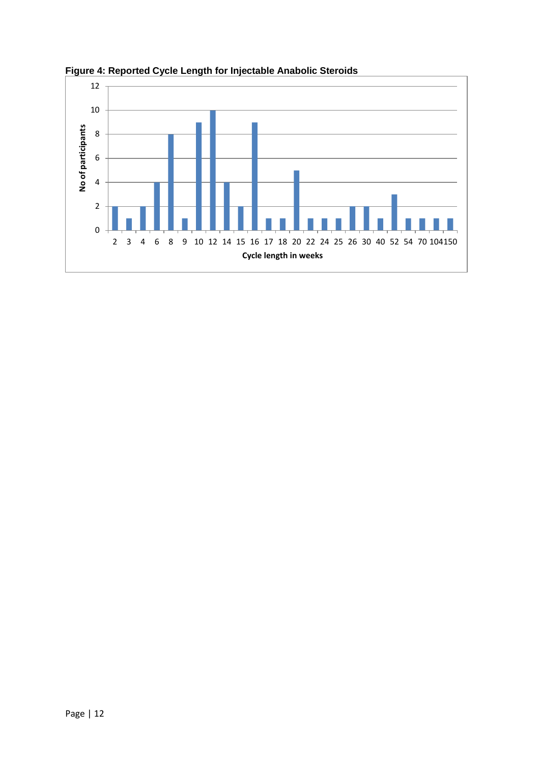

**Figure 4: Reported Cycle Length for Injectable Anabolic Steroids**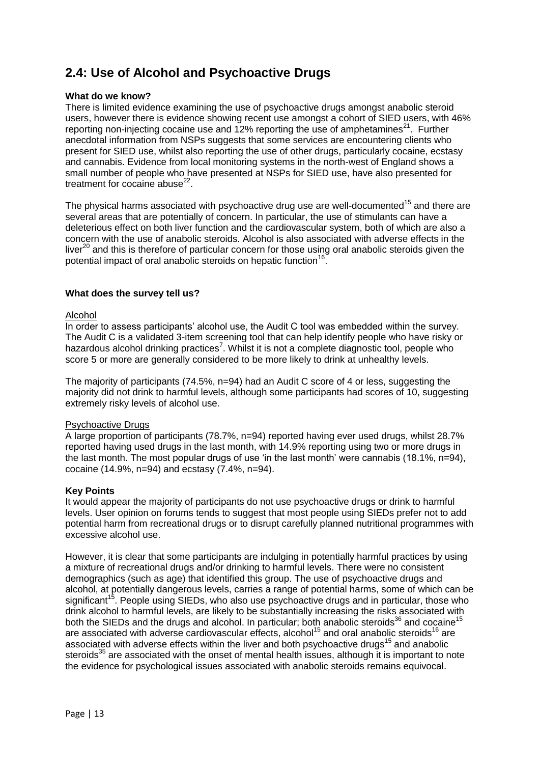# **2.4: Use of Alcohol and Psychoactive Drugs**

#### **What do we know?**

There is limited evidence examining the use of psychoactive drugs amongst anabolic steroid users, however there is evidence showing recent use amongst a cohort of SIED users, with 46% reporting non-injecting cocaine use and  $12\%$  reporting the use of amphetamines<sup>21</sup>. Further anecdotal information from NSPs suggests that some services are encountering clients who present for SIED use, whilst also reporting the use of other drugs, particularly cocaine, ecstasy and cannabis. Evidence from local monitoring systems in the north-west of England shows a small number of people who have presented at NSPs for SIED use, have also presented for treatment for cocaine abuse $^{22}$ .

The physical harms associated with psychoactive drug use are well-documented<sup>15</sup> and there are several areas that are potentially of concern. In particular, the use of stimulants can have a deleterious effect on both liver function and the cardiovascular system, both of which are also a concern with the use of anabolic steroids. Alcohol is also associated with adverse effects in the liver $^{20}$  and this is therefore of particular concern for those using oral anabolic steroids given the potential impact of oral anabolic steroids on hepatic function<sup>16</sup>.

#### **What does the survey tell us?**

#### Alcohol

In order to assess participants' alcohol use, the Audit C tool was embedded within the survey. The Audit C is a validated 3-item screening tool that can help identify people who have risky or hazardous alcohol drinking practices<sup>7</sup>. Whilst it is not a complete diagnostic tool, people who score 5 or more are generally considered to be more likely to drink at unhealthy levels.

The majority of participants (74.5%, n=94) had an Audit C score of 4 or less, suggesting the majority did not drink to harmful levels, although some participants had scores of 10, suggesting extremely risky levels of alcohol use.

#### Psychoactive Drugs

A large proportion of participants (78.7%, n=94) reported having ever used drugs, whilst 28.7% reported having used drugs in the last month, with 14.9% reporting using two or more drugs in the last month. The most popular drugs of use 'in the last month' were cannabis (18.1%,  $n=94$ ), cocaine (14.9%, n=94) and ecstasy (7.4%, n=94).

#### **Key Points**

It would appear the majority of participants do not use psychoactive drugs or drink to harmful levels. User opinion on forums tends to suggest that most people using SIEDs prefer not to add potential harm from recreational drugs or to disrupt carefully planned nutritional programmes with excessive alcohol use.

However, it is clear that some participants are indulging in potentially harmful practices by using a mixture of recreational drugs and/or drinking to harmful levels. There were no consistent demographics (such as age) that identified this group. The use of psychoactive drugs and alcohol, at potentially dangerous levels, carries a range of potential harms, some of which can be significant<sup>15</sup>. People using SIEDs, who also use psychoactive drugs and in particular, those who drink alcohol to harmful levels, are likely to be substantially increasing the risks associated with both the SIEDs and the drugs and alcohol. In particular; both anabolic steroids $^{36}$  and cocaine<sup>15</sup> are associated with adverse cardiovascular effects, alcohol<sup>15</sup> and oral anabolic steroids<sup>16</sup> are associated with adverse effects within the liver and both psychoactive drugs<sup>15</sup> and anabolic steroids<sup>35</sup> are associated with the onset of mental health issues, although it is important to note the evidence for psychological issues associated with anabolic steroids remains equivocal.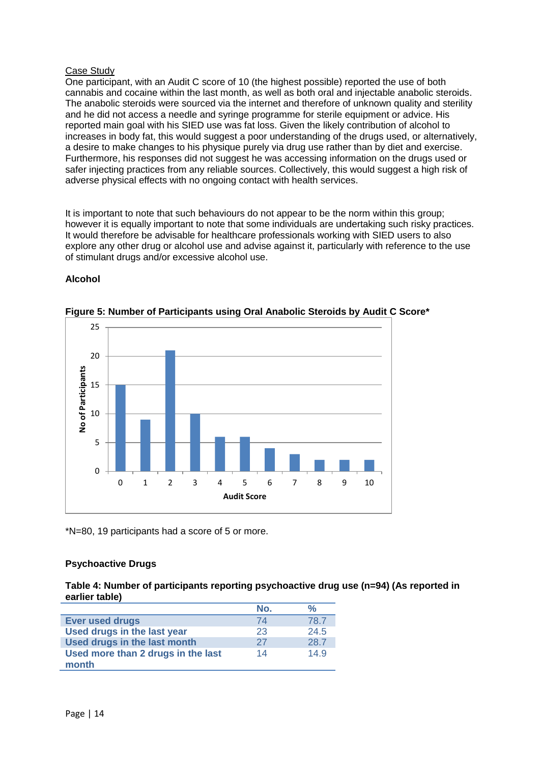#### Case Study

One participant, with an Audit C score of 10 (the highest possible) reported the use of both cannabis and cocaine within the last month, as well as both oral and injectable anabolic steroids. The anabolic steroids were sourced via the internet and therefore of unknown quality and sterility and he did not access a needle and syringe programme for sterile equipment or advice. His reported main goal with his SIED use was fat loss. Given the likely contribution of alcohol to increases in body fat, this would suggest a poor understanding of the drugs used, or alternatively, a desire to make changes to his physique purely via drug use rather than by diet and exercise. Furthermore, his responses did not suggest he was accessing information on the drugs used or safer injecting practices from any reliable sources. Collectively, this would suggest a high risk of adverse physical effects with no ongoing contact with health services.

It is important to note that such behaviours do not appear to be the norm within this group; however it is equally important to note that some individuals are undertaking such risky practices. It would therefore be advisable for healthcare professionals working with SIED users to also explore any other drug or alcohol use and advise against it, particularly with reference to the use of stimulant drugs and/or excessive alcohol use.

#### **Alcohol**



**Figure 5: Number of Participants using Oral Anabolic Steroids by Audit C Score\***

\*N=80, 19 participants had a score of 5 or more.

#### **Psychoactive Drugs**

**Table 4: Number of participants reporting psychoactive drug use (n=94) (As reported in earlier table)**

|                                             | No. | %    |
|---------------------------------------------|-----|------|
| <b>Ever used drugs</b>                      | 74  | 78.7 |
| Used drugs in the last year                 | 23  | 24.5 |
| Used drugs in the last month                | 27  | 28.7 |
| Used more than 2 drugs in the last<br>month | 14  | 14.9 |
|                                             |     |      |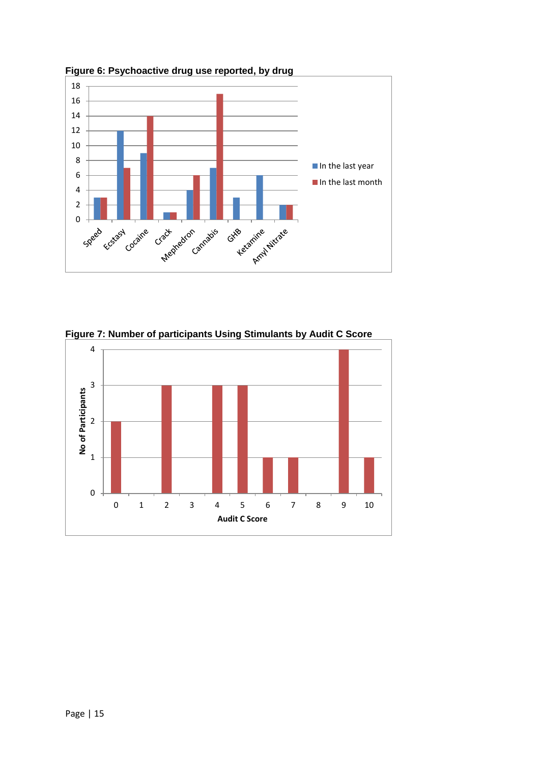

**Figure 6: Psychoactive drug use reported, by drug**



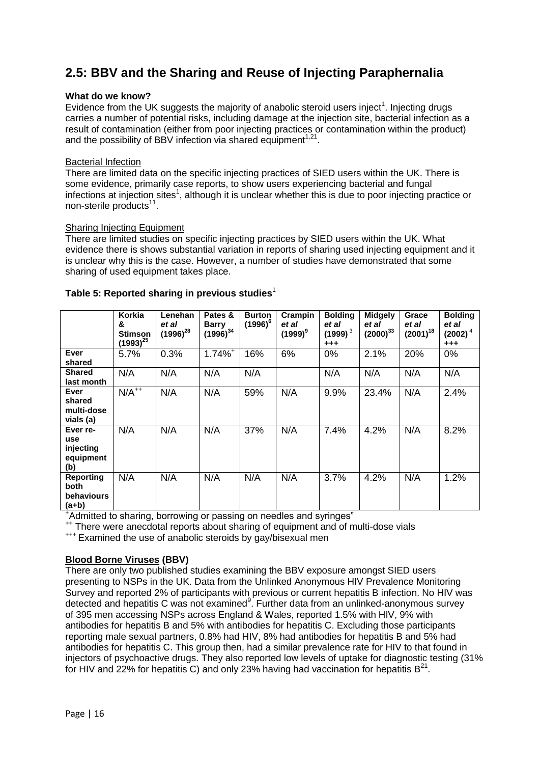# **2.5: BBV and the Sharing and Reuse of Injecting Paraphernalia**

#### **What do we know?**

Evidence from the UK suggests the majority of anabolic steroid users inject<sup>1</sup>. Injecting drugs carries a number of potential risks, including damage at the injection site, bacterial infection as a result of contamination (either from poor injecting practices or contamination within the product) and the possibility of BBV infection via shared equipment<sup>1,21</sup>.

#### Bacterial Infection

There are limited data on the specific injecting practices of SIED users within the UK. There is some evidence, primarily case reports, to show users experiencing bacterial and fungal infections at injection sites<sup>1</sup>, although it is unclear whether this is due to poor injecting practice or non-sterile products<sup>11</sup>.

#### Sharing Injecting Equipment

There are limited studies on specific injecting practices by SIED users within the UK. What evidence there is shows substantial variation in reports of sharing used injecting equipment and it is unclear why this is the case. However, a number of studies have demonstrated that some sharing of used equipment takes place.

|                                                          | Korkia<br>&<br><b>Stimson</b><br>$(1993)^{25}$ | Lenehan<br>et al<br>$(1996)^{28}$ | Pates &<br><b>Barry</b><br>$(1996)^{34}$ | <b>Burton</b><br>$(1996)^6$ | Crampin<br>et al<br>$(1999)^9$ | <b>Bolding</b><br>et al<br>$(1999)^{3}$<br>$+++$ | <b>Midgely</b><br>et al<br>$(2000)^{33}$ | Grace<br>et al<br>$(2001)^{18}$ | <b>Bolding</b><br>et al<br>$(2002)^4$<br>$+ + +$ |
|----------------------------------------------------------|------------------------------------------------|-----------------------------------|------------------------------------------|-----------------------------|--------------------------------|--------------------------------------------------|------------------------------------------|---------------------------------|--------------------------------------------------|
| <b>Ever</b><br>shared                                    | 5.7%                                           | 0.3%                              | $1.74\%$ <sup>+</sup>                    | 16%                         | 6%                             | $0\%$                                            | 2.1%                                     | 20%                             | 0%                                               |
| <b>Shared</b><br>last month                              | N/A                                            | N/A                               | N/A                                      | N/A                         |                                | N/A                                              | N/A                                      | N/A                             | N/A                                              |
| Ever<br>shared<br>multi-dose<br>vials (a)                | $N/A^{++}$                                     | N/A                               | N/A                                      | 59%                         | N/A                            | 9.9%                                             | 23.4%                                    | N/A                             | 2.4%                                             |
| Ever re-<br>use<br>injecting<br>equipment<br>(b)         | N/A                                            | N/A                               | N/A                                      | 37%                         | N/A                            | 7.4%                                             | 4.2%                                     | N/A                             | 8.2%                                             |
| <b>Reporting</b><br>both<br><b>behaviours</b><br>$(a+b)$ | N/A                                            | N/A                               | N/A                                      | N/A                         | N/A                            | 3.7%                                             | 4.2%                                     | N/A                             | 1.2%                                             |

#### Table 5: Reported sharing in previous studies<sup>1</sup>

<sup>+</sup>Admitted to sharing, borrowing or passing on needles and syringes"

<sup>++</sup> There were anecdotal reports about sharing of equipment and of multi-dose vials

+++ Examined the use of anabolic steroids by gay/bisexual men

#### **Blood Borne Viruses (BBV)**

There are only two published studies examining the BBV exposure amongst SIED users presenting to NSPs in the UK. Data from the Unlinked Anonymous HIV Prevalence Monitoring Survey and reported 2% of participants with previous or current hepatitis B infection. No HIV was detected and hepatitis C was not examined<sup>9</sup>. Further data from an unlinked-anonymous survey of 395 men accessing NSPs across England & Wales, reported 1.5% with HIV, 9% with antibodies for hepatitis B and 5% with antibodies for hepatitis C. Excluding those participants reporting male sexual partners, 0.8% had HIV, 8% had antibodies for hepatitis B and 5% had antibodies for hepatitis C. This group then, had a similar prevalence rate for HIV to that found in injectors of psychoactive drugs. They also reported low levels of uptake for diagnostic testing (31% for HIV and 22% for hepatitis C) and only 23% having had vaccination for hepatitis  $B^{21}$ .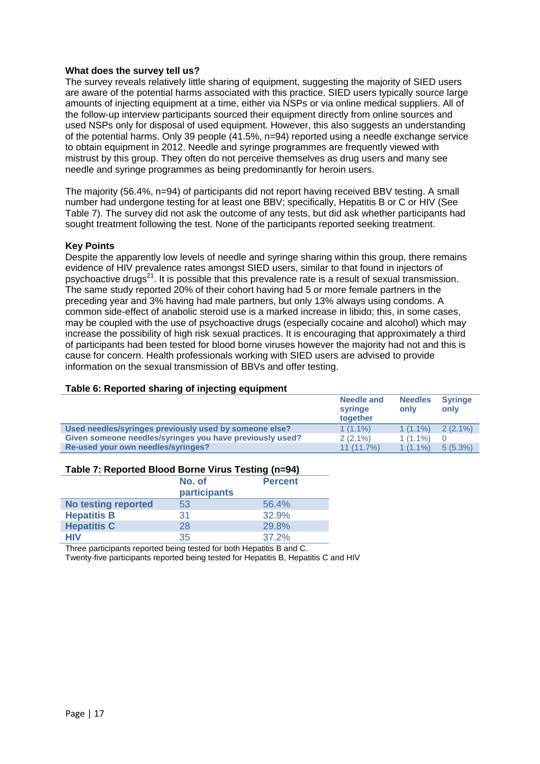#### **What does the survey tell us?**

The survey reveals relatively little sharing of equipment, suggesting the majority of SIED users are aware of the potential harms associated with this practice. SIED users typically source large amounts of injecting equipment at a time, either via NSPs or via online medical suppliers. All of the follow-up interview participants sourced their equipment directly from online sources and used NSPs only for disposal of used equipment. However, this also suggests an understanding of the potential harms. Only 39 people (41.5%, n=94) reported using a needle exchange service to obtain equipment in 2012. Needle and syringe programmes are frequently viewed with mistrust by this group. They often do not perceive themselves as drug users and many see needle and syringe programmes as being predominantly for heroin users.

The majority (56.4%, n=94) of participants did not report having received BBV testing. A small number had undergone testing for at least one BBV; specifically, Hepatitis B or C or HIV (See Table 7). The survey did not ask the outcome of any tests, but did ask whether participants had sought treatment following the test. None of the participants reported seeking treatment.

#### **Key Points**

Despite the apparently low levels of needle and syringe sharing within this group, there remains evidence of HIV prevalence rates amongst SIED users, similar to that found in injectors of psychoactive drugs<sup>21</sup>. It is possible that this prevalence rate is a result of sexual transmission. The same study reported 20% of their cohort having had 5 or more female partners in the preceding year and 3% having had male partners, but only 13% always using condoms. A common side-effect of anabolic steroid use is a marked increase in libido; this, in some cases, may be coupled with the use of psychoactive drugs (especially cocaine and alcohol) which may increase the possibility of high risk sexual practices. It is encouraging that approximately a third of participants had been tested for blood borne viruses however the majority had not and this is cause for concern. Health professionals working with SIED users are advised to provide information on the sexual transmission of BBVs and offer testing.

#### **Table 6: Reported sharing of injecting equipment**

|                                                          | <b>Needle and</b><br>syringe<br>together | <b>Needles</b><br>only | <b>Syringe</b><br>only |
|----------------------------------------------------------|------------------------------------------|------------------------|------------------------|
| Used needles/syringes previously used by someone else?   | $1(1.1\%)$                               | $1(1.1\%)$             | $2(2.1\%)$             |
| Given someone needles/syringes you have previously used? | $2(2.1\%)$                               | $1(1.1\%)$             |                        |
| Re-used your own needles/syringes?                       | $11(11.7\%)$                             | $1(1.1\%)$             | $5(5.3\%)$             |

#### **Table 7: Reported Blood Borne Virus Testing (n=94)**

|                            | No. of<br>participants | <b>Percent</b> |
|----------------------------|------------------------|----------------|
| <b>No testing reported</b> | 53                     | 56.4%          |
| <b>Hepatitis B</b>         | 31                     | 32.9%          |
| <b>Hepatitis C</b>         | 28                     | 29.8%          |
| <b>HIV</b>                 | 35                     | 37.2%          |

Three participants reported being tested for both Hepatitis B and C. Twenty-five participants reported being tested for Hepatitis B, Hepatitis C and HIV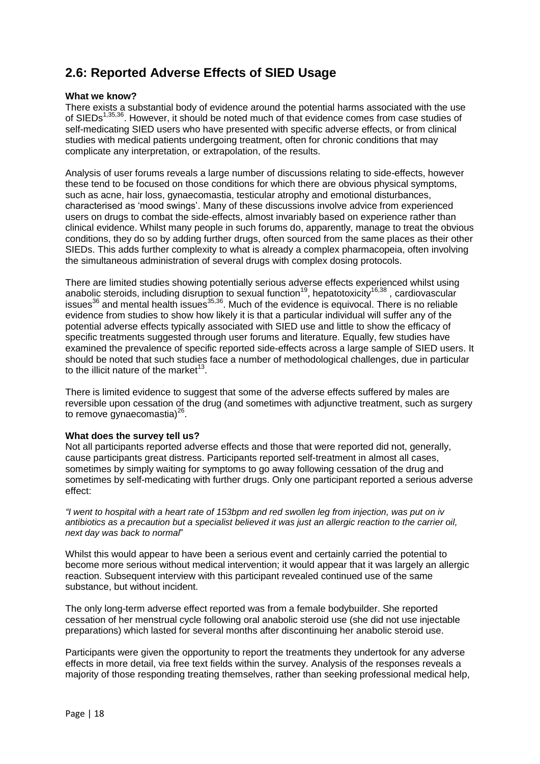# **2.6: Reported Adverse Effects of SIED Usage**

#### **What we know?**

There exists a substantial body of evidence around the potential harms associated with the use of SIEDs<sup>1,35,36</sup>. However, it should be noted much of that evidence comes from case studies of self-medicating SIED users who have presented with specific adverse effects, or from clinical studies with medical patients undergoing treatment, often for chronic conditions that may complicate any interpretation, or extrapolation, of the results.

Analysis of user forums reveals a large number of discussions relating to side-effects, however these tend to be focused on those conditions for which there are obvious physical symptoms, such as acne, hair loss, gynaecomastia, testicular atrophy and emotional disturbances, characterised as 'mood swings'. Many of these discussions involve advice from experienced users on drugs to combat the side-effects, almost invariably based on experience rather than clinical evidence. Whilst many people in such forums do, apparently, manage to treat the obvious conditions, they do so by adding further drugs, often sourced from the same places as their other SIEDs. This adds further complexity to what is already a complex pharmacopeia, often involving the simultaneous administration of several drugs with complex dosing protocols.

There are limited studies showing potentially serious adverse effects experienced whilst using anabolic steroids, including disruption to sexual function<sup>19</sup>, hepatotoxicity<sup>16,38</sup>, cardiovascular issues<sup>36</sup> and mental health issues<sup>35,36</sup>. Much of the evidence is equivocal. There is no reliable evidence from studies to show how likely it is that a particular individual will suffer any of the potential adverse effects typically associated with SIED use and little to show the efficacy of specific treatments suggested through user forums and literature. Equally, few studies have examined the prevalence of specific reported side-effects across a large sample of SIED users. It should be noted that such studies face a number of methodological challenges, due in particular to the illicit nature of the market $^{13}$ .

There is limited evidence to suggest that some of the adverse effects suffered by males are reversible upon cessation of the drug (and sometimes with adjunctive treatment, such as surgery to remove gynaecomastia) $^{26}$ .

#### **What does the survey tell us?**

Not all participants reported adverse effects and those that were reported did not, generally, cause participants great distress. Participants reported self-treatment in almost all cases, sometimes by simply waiting for symptoms to go away following cessation of the drug and sometimes by self-medicating with further drugs. Only one participant reported a serious adverse effect:

*"I went to hospital with a heart rate of 153bpm and red swollen leg from injection, was put on iv antibiotics as a precaution but a specialist believed it was just an allergic reaction to the carrier oil, next day was back to normal*"

Whilst this would appear to have been a serious event and certainly carried the potential to become more serious without medical intervention; it would appear that it was largely an allergic reaction. Subsequent interview with this participant revealed continued use of the same substance, but without incident.

The only long-term adverse effect reported was from a female bodybuilder. She reported cessation of her menstrual cycle following oral anabolic steroid use (she did not use injectable preparations) which lasted for several months after discontinuing her anabolic steroid use.

Participants were given the opportunity to report the treatments they undertook for any adverse effects in more detail, via free text fields within the survey. Analysis of the responses reveals a majority of those responding treating themselves, rather than seeking professional medical help,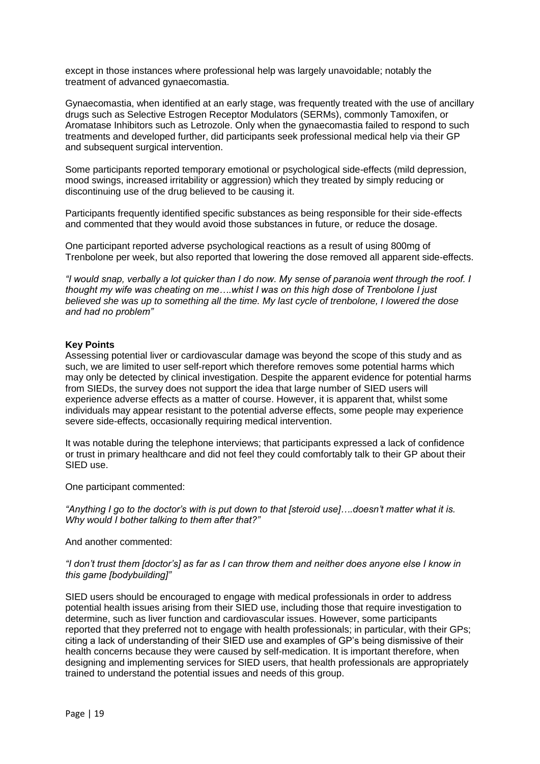except in those instances where professional help was largely unavoidable; notably the treatment of advanced gynaecomastia.

Gynaecomastia, when identified at an early stage, was frequently treated with the use of ancillary drugs such as Selective Estrogen Receptor Modulators (SERMs), commonly Tamoxifen, or Aromatase Inhibitors such as Letrozole. Only when the gynaecomastia failed to respond to such treatments and developed further, did participants seek professional medical help via their GP and subsequent surgical intervention.

Some participants reported temporary emotional or psychological side-effects (mild depression, mood swings, increased irritability or aggression) which they treated by simply reducing or discontinuing use of the drug believed to be causing it.

Participants frequently identified specific substances as being responsible for their side-effects and commented that they would avoid those substances in future, or reduce the dosage.

One participant reported adverse psychological reactions as a result of using 800mg of Trenbolone per week, but also reported that lowering the dose removed all apparent side-effects.

*"I would snap, verbally a lot quicker than I do now. My sense of paranoia went through the roof. I thought my wife was cheating on me….whist I was on this high dose of Trenbolone I just believed she was up to something all the time. My last cycle of trenbolone, I lowered the dose and had no problem"*

#### **Key Points**

Assessing potential liver or cardiovascular damage was beyond the scope of this study and as such, we are limited to user self-report which therefore removes some potential harms which may only be detected by clinical investigation. Despite the apparent evidence for potential harms from SIEDs, the survey does not support the idea that large number of SIED users will experience adverse effects as a matter of course. However, it is apparent that, whilst some individuals may appear resistant to the potential adverse effects, some people may experience severe side-effects, occasionally requiring medical intervention.

It was notable during the telephone interviews; that participants expressed a lack of confidence or trust in primary healthcare and did not feel they could comfortably talk to their GP about their SIED use.

One participant commented:

*"Anything I go to the doctor's with is put down to that [steroid use]….doesn't matter what it is. Why would I bother talking to them after that?"*

And another commented:

#### *"I don't trust them [doctor's] as far as I can throw them and neither does anyone else I know in this game [bodybuilding]"*

SIED users should be encouraged to engage with medical professionals in order to address potential health issues arising from their SIED use, including those that require investigation to determine, such as liver function and cardiovascular issues. However, some participants reported that they preferred not to engage with health professionals; in particular, with their GPs; citing a lack of understanding of their SIED use and examples of GP's being dismissive of their health concerns because they were caused by self-medication. It is important therefore, when designing and implementing services for SIED users, that health professionals are appropriately trained to understand the potential issues and needs of this group.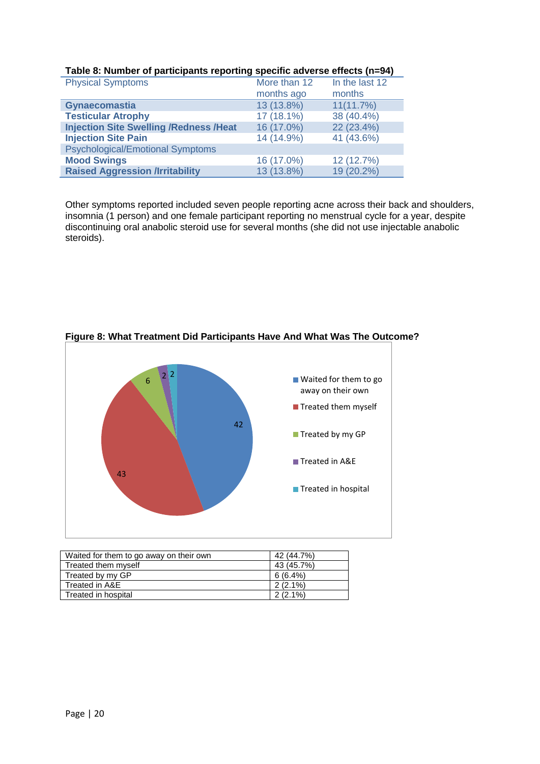| <b>Physical Symptoms</b>                      | More than 12 | In the last 12 |
|-----------------------------------------------|--------------|----------------|
|                                               | months ago   | months         |
| <b>Gynaecomastia</b>                          | 13 (13.8%)   | 11(11.7%)      |
| <b>Testicular Atrophy</b>                     | 17 (18.1%)   | 38 (40.4%)     |
| <b>Injection Site Swelling /Redness /Heat</b> | 16 (17.0%)   | 22 (23.4%)     |
| <b>Injection Site Pain</b>                    | 14 (14.9%)   | 41 (43.6%)     |
| <b>Psychological/Emotional Symptoms</b>       |              |                |
| <b>Mood Swings</b>                            | 16 (17.0%)   | 12 (12.7%)     |
| <b>Raised Aggression /Irritability</b>        | 13 (13.8%)   | 19 (20.2%)     |

#### **Table 8: Number of participants reporting specific adverse effects (n=94)**

Other symptoms reported included seven people reporting acne across their back and shoulders, insomnia (1 person) and one female participant reporting no menstrual cycle for a year, despite discontinuing oral anabolic steroid use for several months (she did not use injectable anabolic steroids).



#### **Figure 8: What Treatment Did Participants Have And What Was The Outcome?**

| Waited for them to go away on their own | 42 (44.7%) |
|-----------------------------------------|------------|
| Treated them myself                     | 43 (45.7%) |
| Treated by my GP                        | 6(6.4%)    |
| Treated in A&E                          | $2(2.1\%)$ |
| Treated in hospital                     | $2(2.1\%)$ |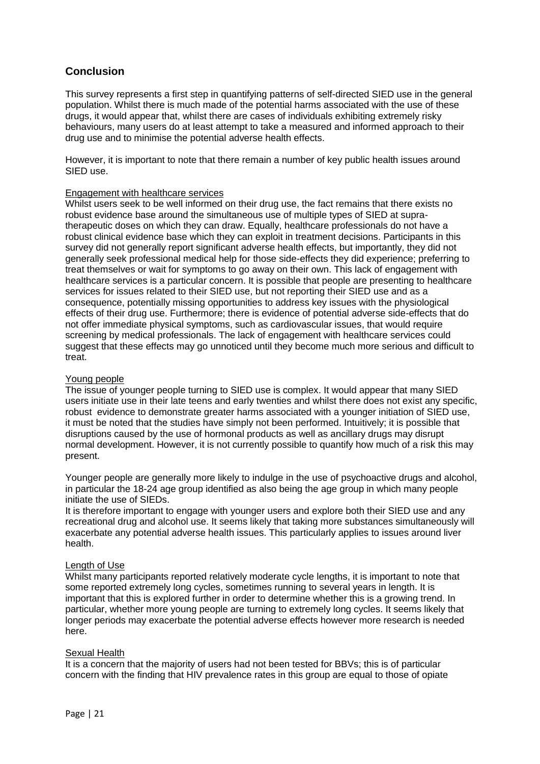#### **Conclusion**

This survey represents a first step in quantifying patterns of self-directed SIED use in the general population. Whilst there is much made of the potential harms associated with the use of these drugs, it would appear that, whilst there are cases of individuals exhibiting extremely risky behaviours, many users do at least attempt to take a measured and informed approach to their drug use and to minimise the potential adverse health effects.

However, it is important to note that there remain a number of key public health issues around SIED use.

#### Engagement with healthcare services

Whilst users seek to be well informed on their drug use, the fact remains that there exists no robust evidence base around the simultaneous use of multiple types of SIED at supratherapeutic doses on which they can draw. Equally, healthcare professionals do not have a robust clinical evidence base which they can exploit in treatment decisions. Participants in this survey did not generally report significant adverse health effects, but importantly, they did not generally seek professional medical help for those side-effects they did experience; preferring to treat themselves or wait for symptoms to go away on their own. This lack of engagement with healthcare services is a particular concern. It is possible that people are presenting to healthcare services for issues related to their SIED use, but not reporting their SIED use and as a consequence, potentially missing opportunities to address key issues with the physiological effects of their drug use. Furthermore; there is evidence of potential adverse side-effects that do not offer immediate physical symptoms, such as cardiovascular issues, that would require screening by medical professionals. The lack of engagement with healthcare services could suggest that these effects may go unnoticed until they become much more serious and difficult to treat.

#### Young people

The issue of younger people turning to SIED use is complex. It would appear that many SIED users initiate use in their late teens and early twenties and whilst there does not exist any specific, robust evidence to demonstrate greater harms associated with a younger initiation of SIED use, it must be noted that the studies have simply not been performed. Intuitively; it is possible that disruptions caused by the use of hormonal products as well as ancillary drugs may disrupt normal development. However, it is not currently possible to quantify how much of a risk this may present.

Younger people are generally more likely to indulge in the use of psychoactive drugs and alcohol, in particular the 18-24 age group identified as also being the age group in which many people initiate the use of SIEDs.

It is therefore important to engage with younger users and explore both their SIED use and any recreational drug and alcohol use. It seems likely that taking more substances simultaneously will exacerbate any potential adverse health issues. This particularly applies to issues around liver health.

#### Length of Use

Whilst many participants reported relatively moderate cycle lengths, it is important to note that some reported extremely long cycles, sometimes running to several years in length. It is important that this is explored further in order to determine whether this is a growing trend. In particular, whether more young people are turning to extremely long cycles. It seems likely that longer periods may exacerbate the potential adverse effects however more research is needed here.

#### Sexual Health

It is a concern that the majority of users had not been tested for BBVs; this is of particular concern with the finding that HIV prevalence rates in this group are equal to those of opiate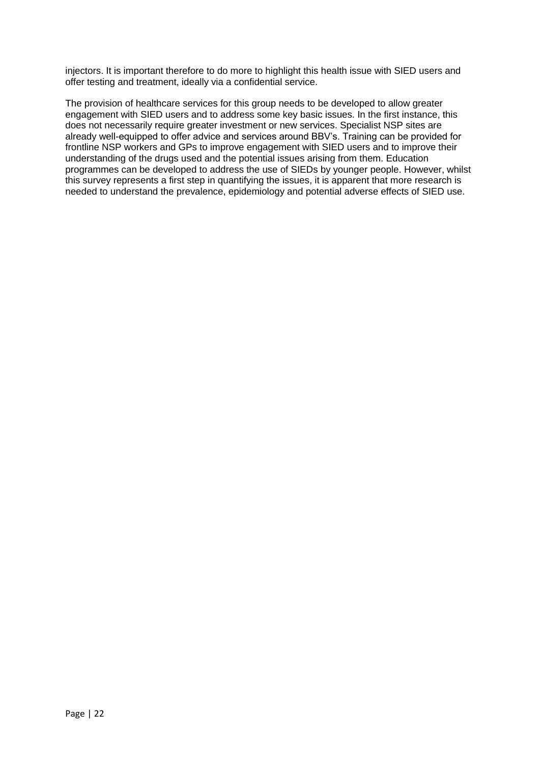injectors. It is important therefore to do more to highlight this health issue with SIED users and offer testing and treatment, ideally via a confidential service.

The provision of healthcare services for this group needs to be developed to allow greater engagement with SIED users and to address some key basic issues. In the first instance, this does not necessarily require greater investment or new services. Specialist NSP sites are already well-equipped to offer advice and services around BBV's. Training can be provided for frontline NSP workers and GPs to improve engagement with SIED users and to improve their understanding of the drugs used and the potential issues arising from them. Education programmes can be developed to address the use of SIEDs by younger people. However, whilst this survey represents a first step in quantifying the issues, it is apparent that more research is needed to understand the prevalence, epidemiology and potential adverse effects of SIED use.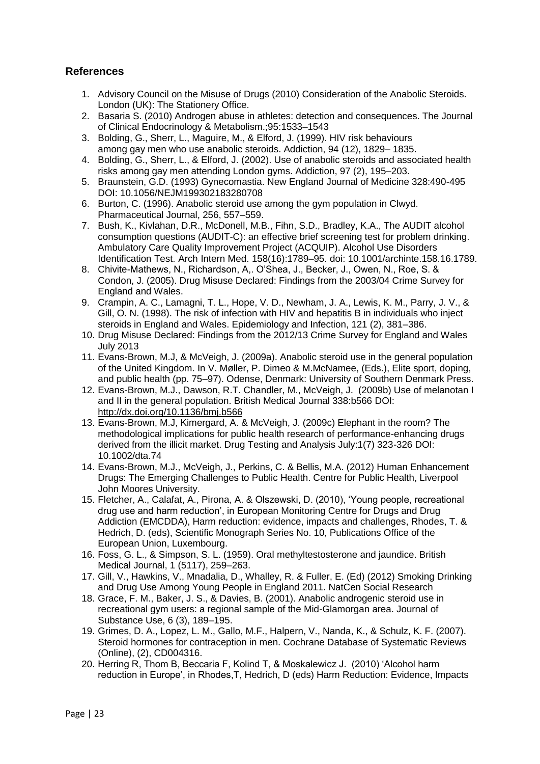#### **References**

- 1. Advisory Council on the Misuse of Drugs (2010) Consideration of the Anabolic Steroids. London (UK): The Stationery Office.
- 2. Basaria S. (2010) Androgen abuse in athletes: detection and consequences. The Journal of Clinical Endocrinology & Metabolism.;95:1533–1543
- 3. Bolding, G., Sherr, L., Maguire, M., & Elford, J. (1999). HIV risk behaviours among gay men who use anabolic steroids. Addiction, 94 (12), 1829– 1835.
- 4. Bolding, G., Sherr, L., & Elford, J. (2002). Use of anabolic steroids and associated health risks among gay men attending London gyms. Addiction, 97 (2), 195–203.
- 5. Braunstein, G.D. (1993) Gynecomastia. New England Journal of Medicine 328:490-495 DOI: 10.1056/NEJM199302183280708
- 6. Burton, C. (1996). Anabolic steroid use among the gym population in Clwyd. Pharmaceutical Journal, 256, 557–559.
- 7. Bush, K., Kivlahan, D.R., McDonell, M.B., Fihn, S.D., Bradley, K.A., The AUDIT alcohol consumption questions (AUDIT-C): an effective brief screening test for problem drinking. Ambulatory Care Quality Improvement Project (ACQUIP). Alcohol Use Disorders Identification Test. Arch Intern Med. 158(16):1789–95. doi: 10.1001/archinte.158.16.1789.
- 8. Chivite-Mathews, N., Richardson, A,. O'Shea, J., Becker, J., Owen, N., Roe, S. & Condon, J. (2005). Drug Misuse Declared: Findings from the 2003/04 Crime Survey for England and Wales.
- 9. Crampin, A. C., Lamagni, T. L., Hope, V. D., Newham, J. A., Lewis, K. M., Parry, J. V., & Gill, O. N. (1998). The risk of infection with HIV and hepatitis B in individuals who inject steroids in England and Wales. Epidemiology and Infection, 121 (2), 381–386.
- 10. Drug Misuse Declared: Findings from the 2012/13 Crime Survey for England and Wales July 2013
- 11. Evans-Brown, M.J, & McVeigh, J. (2009a). Anabolic steroid use in the general population of the United Kingdom. In V. Møller, P. Dimeo & M.McNamee, (Eds.), Elite sport, doping, and public health (pp. 75–97). Odense, Denmark: University of Southern Denmark Press.
- 12. Evans-Brown, M.J., Dawson, R.T. Chandler, M., McVeigh, J. (2009b) Use of melanotan I and II in the general population. British Medical Journal 338:b566 DOI: <http://dx.doi.org/10.1136/bmj.b566>
- 13. Evans-Brown, M.J, Kimergard, A. & McVeigh, J. (2009c) Elephant in the room? The methodological implications for public health research of performance-enhancing drugs derived from the illicit market. Drug Testing and Analysis July:1(7) 323-326 DOI: 10.1002/dta.74
- 14. Evans-Brown, M.J., McVeigh, J., Perkins, C. & Bellis, M.A. (2012) Human Enhancement Drugs: The Emerging Challenges to Public Health. Centre for Public Health, Liverpool John Moores University.
- 15. Fletcher, A., Calafat, A., Pirona, A. & Olszewski, D. (2010), 'Young people, recreational drug use and harm reduction', in European Monitoring Centre for Drugs and Drug Addiction (EMCDDA), Harm reduction: evidence, impacts and challenges, Rhodes, T. & Hedrich, D. (eds), Scientific Monograph Series No. 10, Publications Office of the European Union, Luxembourg.
- 16. Foss, G. L., & Simpson, S. L. (1959). Oral methyltestosterone and jaundice. British Medical Journal, 1 (5117), 259–263.
- 17. Gill, V., Hawkins, V., Mnadalia, D., Whalley, R. & Fuller, E. (Ed) (2012) Smoking Drinking and Drug Use Among Young People in England 2011. NatCen Social Research
- 18. Grace, F. M., Baker, J. S., & Davies, B. (2001). Anabolic androgenic steroid use in recreational gym users: a regional sample of the Mid-Glamorgan area. Journal of Substance Use, 6 (3), 189–195.
- 19. Grimes, D. A., Lopez, L. M., Gallo, M.F., Halpern, V., Nanda, K., & Schulz, K. F. (2007). Steroid hormones for contraception in men. Cochrane Database of Systematic Reviews (Online), (2), CD004316.
- 20. Herring R, Thom B, Beccaria F, Kolind T, & Moskalewicz J. (2010) 'Alcohol harm reduction in Europe', in Rhodes,T, Hedrich, D (eds) Harm Reduction: Evidence, Impacts